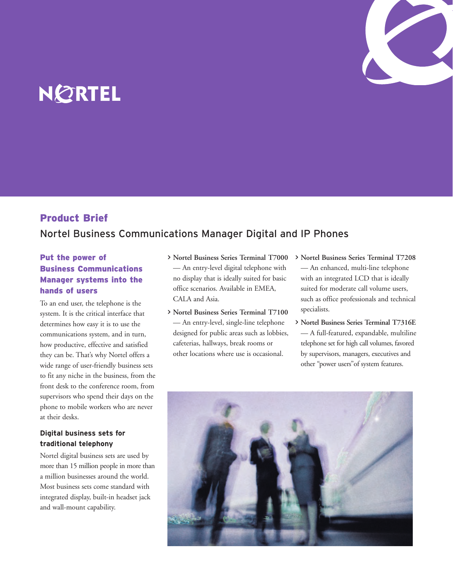

# NØRTEL

# Product Brief

# Nortel Business Communications Manager Digital and IP Phones

# Put the power of Business Communications Manager systems into the hands of users

To an end user, the telephone is the system. It is the critical interface that determines how easy it is to use the communications system, and in turn, how productive, effective and satisfied they can be. That's why Nortel offers a wide range of user-friendly business sets to fit any niche in the business, from the front desk to the conference room, from supervisors who spend their days on the phone to mobile workers who are never at their desks.

# **Digital business sets for traditional telephony**

Nortel digital business sets are used by more than 15 million people in more than a million businesses around the world. Most business sets come standard with integrated display, built-in headset jack and wall-mount capability.

- > **Nortel Business Series Terminal T7000** — An entry-level digital telephone with no display that is ideally suited for basic office scenarios. Available in EMEA, CALA and Asia.
- > **Nortel Business Series Terminal T7100** — An entry-level, single-line telephone designed for public areas such as lobbies, cafeterias, hallways, break rooms or other locations where use is occasional.
- > **Nortel Business Series Terminal T7208** — An enhanced, multi-line telephone with an integrated LCD that is ideally suited for moderate call volume users, such as office professionals and technical specialists.
- > **Nortel Business Series Terminal T7316E** — A full-featured, expandable, multiline telephone set for high call volumes, favored by supervisors, managers, executives and other "power users"of system features.

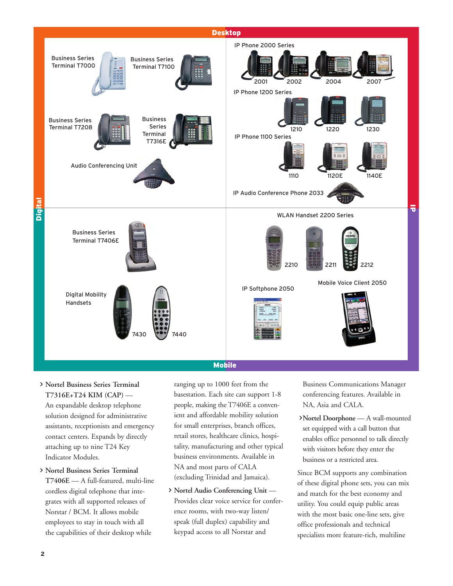

#### Mobile

- > **Nortel Business Series Terminal T7316E+T24 KIM (CAP)** — An expandable desktop telephone solution designed for administrative assistants, receptionists and emergency contact centers. Expands by directly attaching up to nine T24 Key Indicator Modules.
- > **Nortel Business Series Terminal T7406E** — A full-featured, multi-line cordless digital telephone that integrates with all supported releases of Norstar / BCM. It allows mobile employees to stay in touch with all the capabilities of their desktop while

ranging up to 1000 feet from the basestation. Each site can support 1-8 people, making the T7406E a convenient and affordable mobility solution for small enterprises, branch offices, retail stores, healthcare clinics, hospitality, manufacturing and other typical business environments. Available in NA and most parts of CALA (excluding Trinidad and Jamaica).

> **Nortel Audio Conferencing Unit** — Provides clear voice service for conference rooms, with two-way listen/ speak (full duplex) capability and keypad access to all Norstar and

Business Communications Manager conferencing features. Available in NA, Asia and CALA.

>**Nortel Doorphone** — A wall-mounted set equipped with a call button that enables office personnel to talk directly with visitors before they enter the business or a restricted area.

Since BCM supports any combination of these digital phone sets, you can mix and match for the best economy and utility. You could equip public areas with the most basic one-line sets, give office professionals and technical specialists more feature-rich, multiline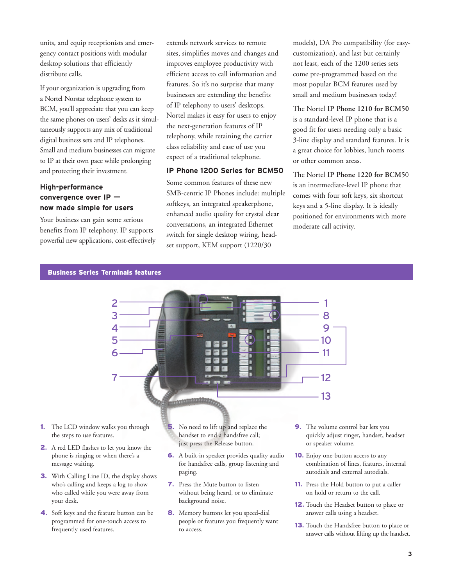units, and equip receptionists and emergency contact positions with modular desktop solutions that efficiently distribute calls.

If your organization is upgrading from a Nortel Norstar telephone system to BCM, you'll appreciate that you can keep the same phones on users' desks as it simultaneously supports any mix of traditional digital business sets and IP telephones. Small and medium businesses can migrate to IP at their own pace while prolonging and protecting their investment.

#### **High-performance convergence over IP now made simple for users**

Your business can gain some serious benefits from IP telephony. IP supports powerful new applications, cost-effectively extends network services to remote sites, simplifies moves and changes and improves employee productivity with efficient access to call information and features. So it's no surprise that many businesses are extending the benefits of IP telephony to users' desktops. Nortel makes it easy for users to enjoy the next-generation features of IP telephony, while retaining the carrier class reliability and ease of use you expect of a traditional telephone.

### **IP Phone 1200 Series for BCM50**

Some common features of these new SMB-centric IP Phones include: multiple softkeys, an integrated speakerphone, enhanced audio quality for crystal clear conversations, an integrated Ethernet switch for single desktop wiring, headset support, KEM support (1220/30

models), DA Pro compatibility (for easycustomization), and last but certainly not least, each of the 1200 series sets come pre-programmed based on the most popular BCM features used by small and medium businesses today!

The Nortel **IP Phone 1210 for BCM50** is a standard-level IP phone that is a good fit for users needing only a basic 3-line display and standard features. It is a great choice for lobbies, lunch rooms or other common areas.

The Nortel **IP Phone 1220 for BCM5**0 is an intermediate-level IP phone that comes with four soft keys, six shortcut keys and a 5-line display. It is ideally positioned for environments with more moderate call activity.

#### Business Series Terminals features



- 1**.** The LCD window walks you through the steps to use features.
- 2**.** A red LED flashes to let you know the phone is ringing or when there's a message waiting.
- 3**.** With Calling Line ID, the display shows who's calling and keeps a log to show who called while you were away from your desk.
- 4**.** Soft keys and the feature button can be programmed for one-touch access to frequently used features.

5**.** No need to lift up and replace the handset to end a handsfree call; just press the Release button.

- 6**.** A built-in speaker provides quality audio for handsfree calls, group listening and paging.
- 7**.** Press the Mute button to listen without being heard, or to eliminate background noise.
- 8**.** Memory buttons let you speed-dial people or features you frequently want to access.
- 9**.** The volume control bar lets you quickly adjust ringer, handset, headset or speaker volume.
- 10**.** Enjoy one-button access to any combination of lines, features, internal autodials and external autodials.
- 11**.** Press the Hold button to put a caller on hold or return to the call.
- 12**.** Touch the Headset button to place or answer calls using a headset.
- 13**.** Touch the Handsfree button to place or answer calls without lifting up the handset.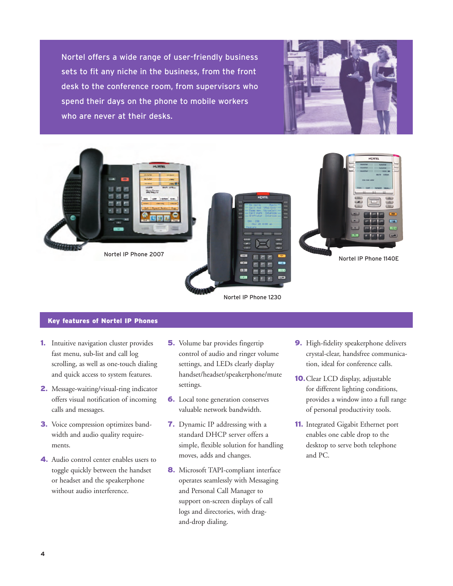Nortel offers a wide range of user-friendly business sets to fit any niche in the business, from the front desk to the conference room, from supervisors who spend their days on the phone to mobile workers who are never at their desks.





#### Key features of Nortel IP Phones

- 1**.** Intuitive navigation cluster provides fast menu, sub-list and call log scrolling, as well as one-touch dialing and quick access to system features.
- 2**.** Message-waiting/visual-ring indicator offers visual notification of incoming calls and messages.
- 3**.** Voice compression optimizes bandwidth and audio quality requirements.
- 4**.** Audio control center enables users to toggle quickly between the handset or headset and the speakerphone without audio interference.
- 5**.** Volume bar provides fingertip control of audio and ringer volume settings, and LEDs clearly display handset/headset/speakerphone/mute settings.
- 6**.** Local tone generation conserves valuable network bandwidth.
- 7**.** Dynamic IP addressing with a standard DHCP server offers a simple, flexible solution for handling moves, adds and changes.
- 8**.** Microsoft TAPI-compliant interface operates seamlessly with Messaging and Personal Call Manager to support on-screen displays of call logs and directories, with dragand-drop dialing.
- 9**.** High-fidelity speakerphone delivers crystal-clear, handsfree communication, ideal for conference calls.
- 10**.**Clear LCD display, adjustable for different lighting conditions, provides a window into a full range of personal productivity tools.
- 11**.** Integrated Gigabit Ethernet port enables one cable drop to the desktop to serve both telephone and PC.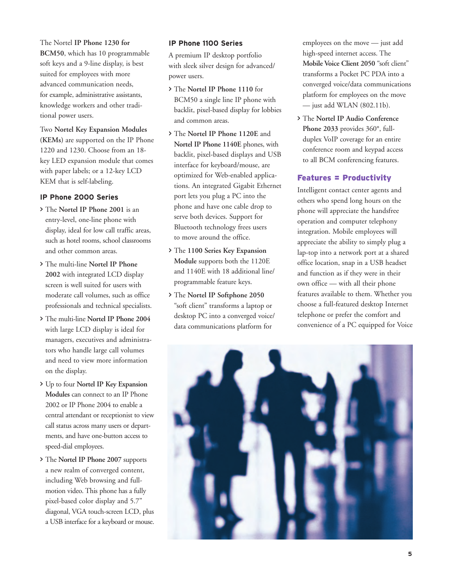The Nortel **IP Phone 1230 for BCM50**, which has 10 programmable soft keys and a 9-line display, is best suited for employees with more advanced communication needs, for example, administrative assistants, knowledge workers and other traditional power users.

Two **Nortel Key Expansion Modules (KEMs)** are supported on the IP Phone 1220 and 1230. Choose from an 18 key LED expansion module that comes with paper labels; or a 12-key LCD KEM that is self-labeling.

#### **IP Phone 2000 Series**

- > The **Nortel IP Phone 2001** is an entry-level, one-line phone with display, ideal for low call traffic areas, such as hotel rooms, school classrooms and other common areas.
- > The multi-line **Nortel IP Phone 2002** with integrated LCD display screen is well suited for users with moderate call volumes, such as office professionals and technical specialists.
- > The multi-line **Nortel IP Phone 2004** with large LCD display is ideal for managers, executives and administrators who handle large call volumes and need to view more information on the display.
- > Up to four **Nortel IP Key Expansion Modules** can connect to an IP Phone 2002 or IP Phone 2004 to enable a central attendant or receptionist to view call status across many users or departments, and have one-button access to speed-dial employees.
- > The **Nortel IP Phone 2007** supports a new realm of converged content, including Web browsing and fullmotion video. This phone has a fully pixel-based color display and 5.7" diagonal, VGA touch-screen LCD, plus a USB interface for a keyboard or mouse.

#### **IP Phone 1100 Series**

A premium IP desktop portfolio with sleek silver design for advanced/ power users.

- > The **Nortel IP Phone 1110** for BCM50 a single line IP phone with backlit, pixel-based display for lobbies and common areas.
- > The **Nortel IP Phone 1120E** and **Nortel IP Phone 1140E** phones, with backlit, pixel-based displays and USB interface for keyboard/mouse, are optimized for Web-enabled applications. An integrated Gigabit Ethernet port lets you plug a PC into the phone and have one cable drop to serve both devices. Support for Bluetooth technology frees users to move around the office.
- > The **1100 Series Key Expansion Module** supports both the 1120E and 1140E with 18 additional line/ programmable feature keys.
- > The **Nortel IP Softphone 2050**  "soft client" transforms a laptop or desktop PC into a converged voice/ data communications platform for

employees on the move — just add high-speed internet access. The **Mobile Voice Client 2050** "soft client" transforms a Pocket PC PDA into a converged voice/data communications platform for employees on the move — just add WLAN (802.11b).

> The **Nortel IP Audio Conference Phone 2033** provides 360°, fullduplex VoIP coverage for an entire conference room and keypad access to all BCM conferencing features.

# Features = Productivity

Intelligent contact center agents and others who spend long hours on the phone will appreciate the handsfree operation and computer telephony integration. Mobile employees will appreciate the ability to simply plug a lap-top into a network port at a shared office location, snap in a USB headset and function as if they were in their own office — with all their phone features available to them. Whether you choose a full-featured desktop Internet telephone or prefer the comfort and convenience of a PC equipped for Voice